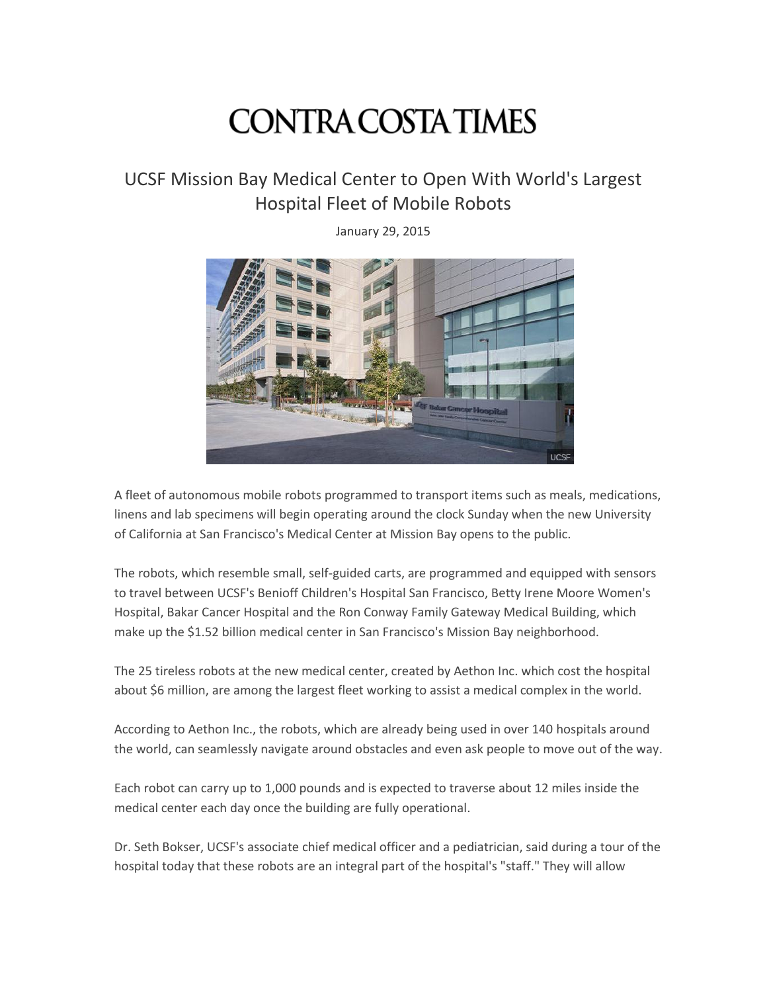## **CONTRA COSTA TIMES**

## UCSF Mission Bay Medical Center to Open With World's Largest Hospital Fleet of Mobile Robots

January 29, 2015



A fleet of autonomous mobile robots programmed to transport items such as meals, medications, linens and lab specimens will begin operating around the clock Sunday when the new University of California at San Francisco's Medical Center at Mission Bay opens to the public.

The robots, which resemble small, self-guided carts, are programmed and equipped with sensors to travel between UCSF's Benioff Children's Hospital San Francisco, Betty Irene Moore Women's Hospital, Bakar Cancer Hospital and the Ron Conway Family Gateway Medical Building, which make up the \$1.52 billion medical center in San Francisco's Mission Bay neighborhood.

The 25 tireless robots at the new medical center, created by Aethon Inc. which cost the hospital about \$6 million, are among the largest fleet working to assist a medical complex in the world.

According to Aethon Inc., the robots, which are already being used in over 140 hospitals around the world, can seamlessly navigate around obstacles and even ask people to move out of the way.

Each robot can carry up to 1,000 pounds and is expected to traverse about 12 miles inside the medical center each day once the building are fully operational.

Dr. Seth Bokser, UCSF's associate chief medical officer and a pediatrician, said during a tour of the hospital today that these robots are an integral part of the hospital's "staff." They will allow